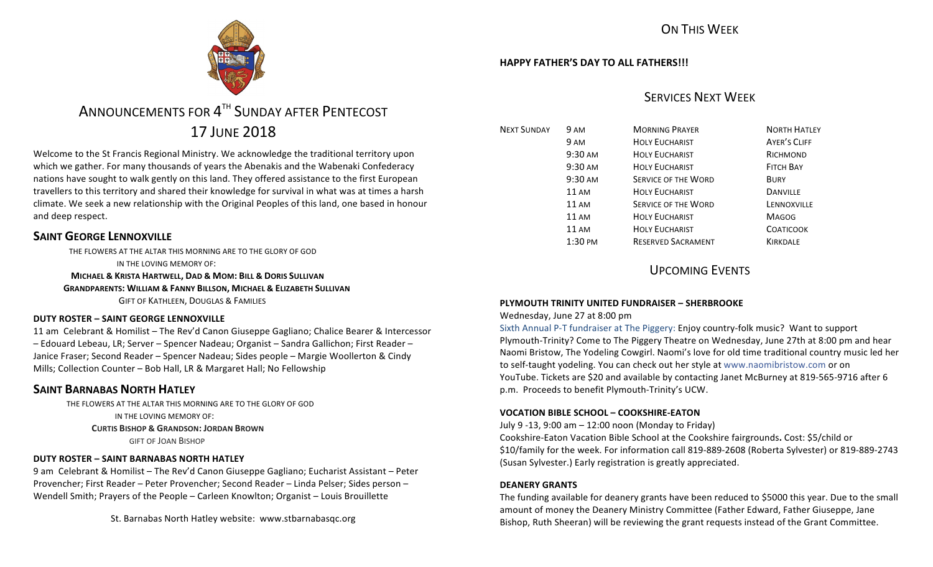### **HAPPY FATHER'S DAY TO ALL FATHERS!!!**

# SERVICES NEXT WEEK

| <b>NEXT SUNDAY</b> | 9 AM               | <b>MORNING PRAYER</b>      | <b>NORTH HATLEY</b> |
|--------------------|--------------------|----------------------------|---------------------|
|                    | 9 AM               | <b>HOLY EUCHARIST</b>      | <b>AYER'S CLIFF</b> |
|                    | 9:30 AM            | <b>HOLY EUCHARIST</b>      | RICHMOND            |
|                    | $9:30 \text{ AM}$  | <b>HOLY EUCHARIST</b>      | <b>FITCH BAY</b>    |
|                    | $9:30 \text{ AM}$  | <b>SERVICE OF THE WORD</b> | <b>BURY</b>         |
|                    | <b>11 AM</b>       | <b>HOLY EUCHARIST</b>      | <b>DANVILLE</b>     |
|                    | <b>11 AM</b>       | <b>SERVICE OF THE WORD</b> | LENNOXVILLE         |
|                    | 11 AM              | <b>HOLY EUCHARIST</b>      | <b>MAGOG</b>        |
|                    | <b>11 AM</b>       | <b>HOLY EUCHARIST</b>      | <b>COATICOOK</b>    |
|                    | $1:30 \text{ }$ PM | <b>RESERVED SACRAMENT</b>  | <b>KIRKDALE</b>     |

# **UPCOMING EVENTS**

### **PLYMOUTH TRINITY UNITED FUNDRAISER – SHERBROOKE**

# Wednesday, June 27 at 8:00 pm

Sixth Annual P-T fundraiser at The Piggery: Enjoy country-folk music? Want to support Plymouth-Trinity? Come to The Piggery Theatre on Wednesday, June 27th at 8:00 pm and hear Naomi Bristow, The Yodeling Cowgirl. Naomi's love for old time traditional country music led her to self-taught yodeling. You can check out her style at www.naomibristow.com or on YouTube. Tickets are \$20 and available by contacting Janet McBurney at 819-565-9716 after 6 p.m. Proceeds to benefit Plymouth-Trinity's UCW.

### **VOCATION BIBLE SCHOOL – COOKSHIRE-EATON**

July 9 -13, 9:00 am – 12:00 noon (Monday to Friday) Cookshire-Eaton Vacation Bible School at the Cookshire fairgrounds**.** Cost: \$5/child or \$10/family for the week. For information call 819-889-2608 (Roberta Sylvester) or 819-889-2743 (Susan Sylvester.) Early registration is greatly appreciated.

### **DEANERY GRANTS**

The funding available for deanery grants have been reduced to \$5000 this year. Due to the small amount of money the Deanery Ministry Committee (Father Edward, Father Giuseppe, Jane Bishop, Ruth Sheeran) will be reviewing the grant requests instead of the Grant Committee.



# ANNOUNCEMENTS FOR 4<sup>TH</sup> SUNDAY AFTER PENTECOST 17 JUNE 2018

Welcome to the St Francis Regional Ministry. We acknowledge the traditional territory upon which we gather. For many thousands of years the Abenakis and the Wabenaki Confederacy nations have sought to walk gently on this land. They offered assistance to the first European travellers to this territory and shared their knowledge for survival in what was at times a harsh climate. We seek a new relationship with the Original Peoples of this land, one based in honour and deep respect.

# **SAINT GEORGE LENNOXVILLE**

THE FLOWERS AT THE ALTAR THIS MORNING ARE TO THE GLORY OF GOD IN THE LOVING MEMORY OF: **MICHAEL & KRISTA HARTWELL, DAD & MOM: BILL & DORIS SULLIVAN** 

**GRANDPARENTS: WILLIAM & FANNY BILLSON, MICHAEL & ELIZABETH SULLIVAN GIFT OF KATHLEEN, DOUGLAS & FAMILIES** 

# **DUTY ROSTER – SAINT GEORGE LENNOXVILLE**

11 am Celebrant & Homilist – The Rev'd Canon Giuseppe Gagliano; Chalice Bearer & Intercessor - Edouard Lebeau, LR; Server - Spencer Nadeau; Organist - Sandra Gallichon; First Reader -Janice Fraser; Second Reader – Spencer Nadeau; Sides people – Margie Woollerton & Cindy Mills; Collection Counter - Bob Hall, LR & Margaret Hall; No Fellowship

# **SAINT BARNABAS NORTH HATLEY**

THE FLOWERS AT THE ALTAR THIS MORNING ARE TO THE GLORY OF GOD IN THE LOVING MEMORY OF: **CURTIS BISHOP & GRANDSON: JORDAN BROWN GIFT OF JOAN BISHOP** 

# **DUTY ROSTER – SAINT BARNABAS NORTH HATLEY**

9 am Celebrant & Homilist – The Rev'd Canon Giuseppe Gagliano; Eucharist Assistant – Peter Provencher; First Reader – Peter Provencher; Second Reader – Linda Pelser; Sides person – Wendell Smith; Prayers of the People – Carleen Knowlton; Organist – Louis Brouillette

St. Barnabas North Hatley website: www.stbarnabasqc.org